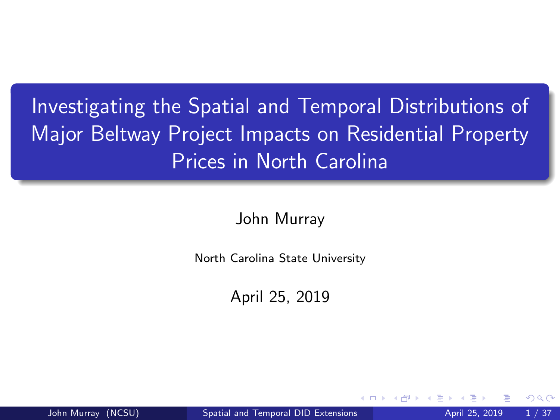# <span id="page-0-0"></span>Investigating the Spatial and Temporal Distributions of Major Beltway Project Impacts on Residential Property Prices in North Carolina

John Murray

North Carolina State University

April 25, 2019

John Murray (NCSU) Spatial [and Temporal DID Extensions](#page-36-0) April 25, 2019 1/37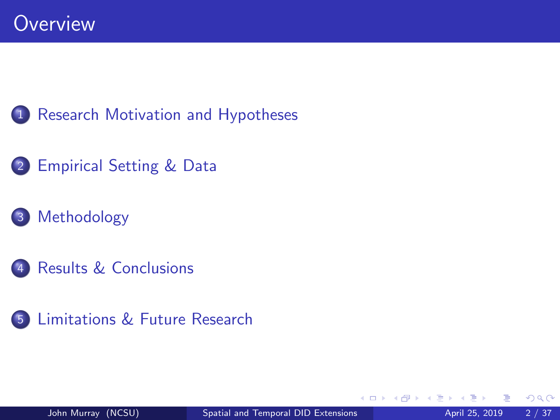

2 Empirical [Setting & Data](#page-6-0)

### 3 [Methodology](#page-12-0)

- Results [& Conclusions](#page-18-0)
- 5 Limitations [& Future Research](#page-36-0)

 $\leftarrow$ 

 $QQ$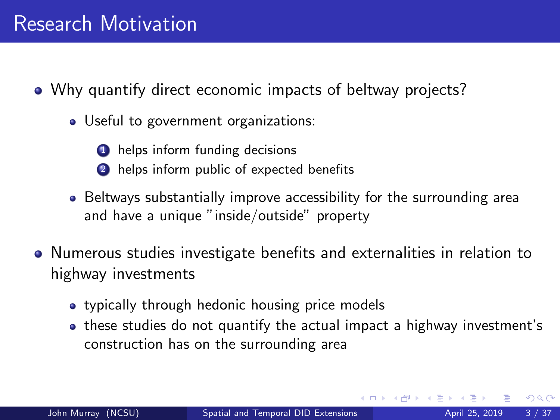<span id="page-2-0"></span>Why quantify direct economic impacts of beltway projects?

• Useful to government organizations:

**1** helps inform funding decisions

- 2 helps inform public of expected benefits
- Beltways substantially improve accessibility for the surrounding area and have a unique "inside/outside" property
- Numerous studies investigate benefits and externalities in relation to highway investments
	- typically through hedonic housing price models
	- these studies do not quantify the actual impact a highway investment's construction has on the surrounding area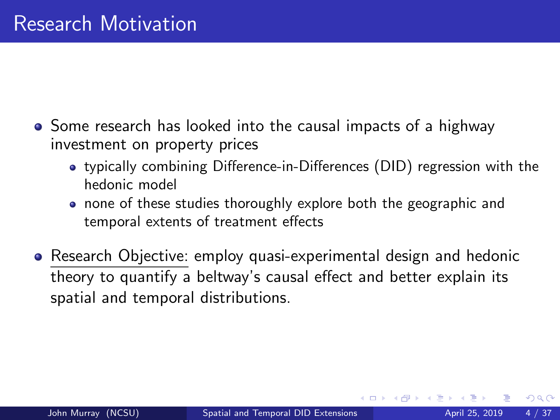- Some research has looked into the causal impacts of a highway investment on property prices
	- typically combining Difference-in-Differences (DID) regression with the hedonic model
	- none of these studies thoroughly explore both the geographic and temporal extents of treatment effects
- Research Objective: employ quasi-experimental design and hedonic theory to quantify a beltway's causal effect and better explain its spatial and temporal distributions.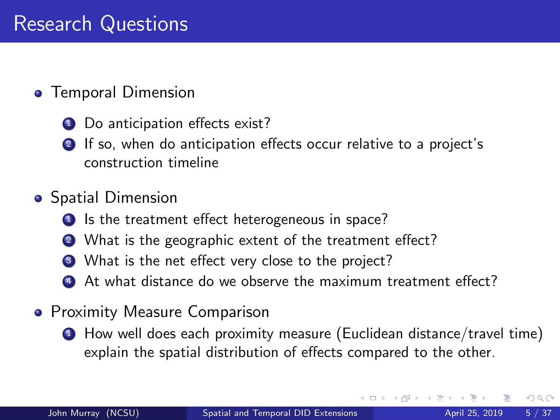### **•** Temporal Dimension

- Do anticipation effects exist?
- 2 If so, when do anticipation effects occur relative to a project's construction timeline

### **•** Spatial Dimension

- **1** Is the treatment effect heterogeneous in space?
- 2 What is the geographic extent of the treatment effect?
- **3** What is the net effect very close to the project?
- 4 At what distance do we observe the maximum treatment effect?
- **Proximity Measure Comparison** 
	- <sup>1</sup> How well does each proximity measure (Euclidean distance/travel time) explain the spatial distribution of effects compared to the other.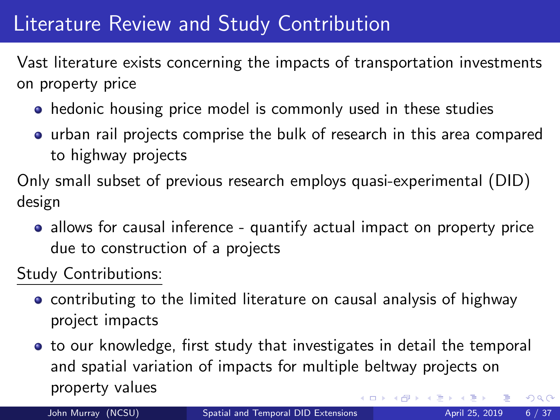### <span id="page-5-0"></span>**Literature Review and Study Contribution**

Vast literature exists concerning the impacts of transportation investments on property price

- hedonic housing price model is commonly used in these studies
- urban rail projects comprise the bulk of research in this area compared to highway projects

Only small subset of previous research employs quasi-experimental (DID) design

• allows for causal inference - quantify actual impact on property price due to construction of a projects

Study Contributions:

- contributing to the limited literature on causal analysis of highway project impacts
- to our knowledge, first study that investigates in detail the temporal and spatial variation of impacts for multiple beltway projects on property values  $QQ$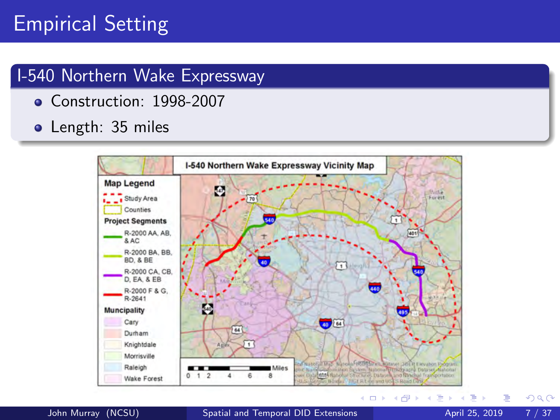## <span id="page-6-0"></span>Empirical Setting

### I-540 Northern Wake Expressway

- Construction: 1998-2007
- Length: 35 miles



 $QQ$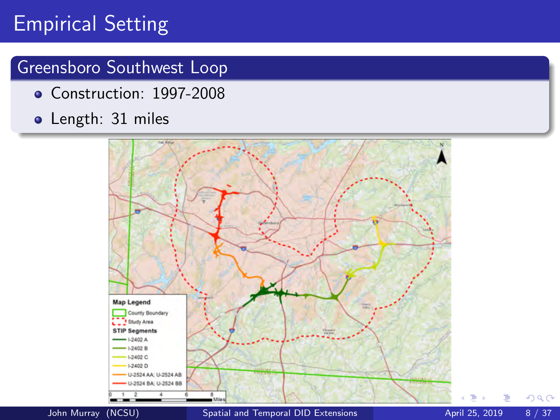# Empirical Setting

### Greensboro Southwest Loop

- Construction: 1997-2008
- Length: 31 miles



 $QQ$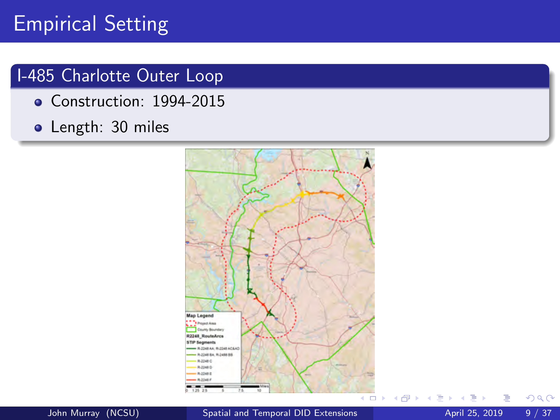## <span id="page-8-0"></span>Empirical Setting

### I-485 Charlotte Outer Loop

- Construction: 1994-2015
- Length: 30 miles



John Murray (NCSU) Spatial [and Temporal DID Extensions](#page-0-0) April 25, 2019 9/37

 $QQ$ 

舌

∢母  $\sim$  $\mathcal{A}$ э ×  $\mathcal{A}$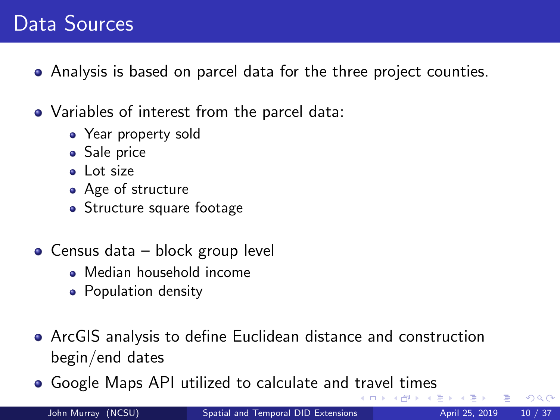## <span id="page-9-0"></span>Data Sources

- Analysis is based on parcel data for the three project counties.
- Variables of interest from the parcel data:
	- Year property sold
	- Sale price
	- a Lot size
	- Age of structure
	- Structure square footage
- Census data block group level
	- Median household income
	- Population density
- ArcGIS analysis to define Euclidean distance and construction begin/end dates
- Google Maps API utilized to calculate and [tra](#page-8-0)[ve](#page-10-0)[l](#page-8-0) [ti](#page-9-0)[m](#page-10-0)[e](#page-5-0)[s](#page-6-0)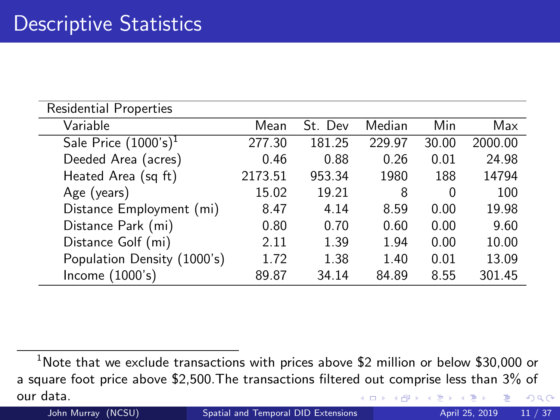<span id="page-10-0"></span>

| Residential Properties      |         |         |        |       |         |
|-----------------------------|---------|---------|--------|-------|---------|
| Variable                    | Mean    | St. Dev | Median | Min   | Max     |
| Sale Price $(1000's)^1$     | 277.30  | 181.25  | 229.97 | 30.00 | 2000.00 |
| Deeded Area (acres)         | 0.46    | 0.88    | 0.26   | 0.01  | 24.98   |
| Heated Area (sq ft)         | 2173.51 | 953.34  | 1980   | 188   | 14794   |
| Age (years)                 | 15.02   | 19.21   | 8      | 0     | 100     |
| Distance Employment (mi)    | 8.47    | 4.14    | 8.59   | 0.00  | 19.98   |
| Distance Park (mi)          | 0.80    | 0.70    | 0.60   | 0.00  | 9.60    |
| Distance Golf (mi)          | 2.11    | 1.39    | 1.94   | 0.00  | 10.00   |
| Population Density (1000's) | 1.72    | 1.38    | 1.40   | 0.01  | 13.09   |
| Income (1000's)             | 89.87   | 34.14   | 84.89  | 8.55  | 301.45  |

 $1$ Note that we exclude transactions with prices above \$2 million or below \$30,000 or a square foot price above \$2,500.The transactions filtered out comprise less than 3% of our data.  $298$ 4 D F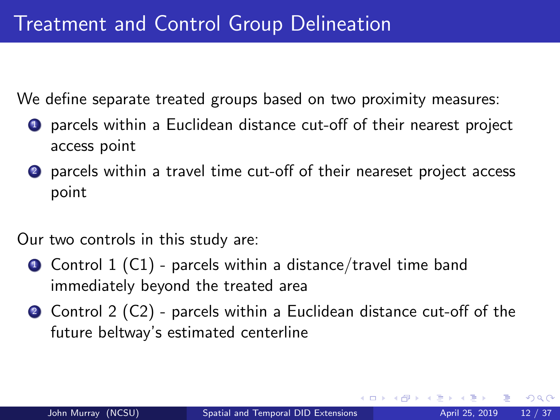We define separate treated groups based on two proximity measures:

- **1** parcels within a Euclidean distance cut-off of their nearest project access point
- parcels within a travel time cut-off of their neareset project access point

Our two controls in this study are:

- $\bullet$  Control 1 (C1) parcels within a distance/travel time band immediately beyond the treated area
- Control 2 (C2) parcels within a Euclidean distance cut-off of the future beltway's estimated centerline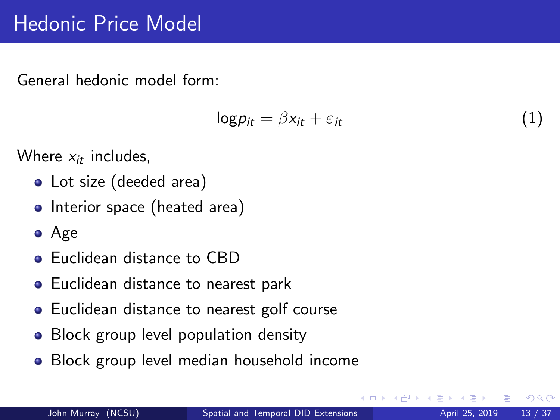### <span id="page-12-0"></span>Hedonic Price Model

General hedonic model form:

$$
\log p_{it} = \beta x_{it} + \varepsilon_{it} \tag{1}
$$

Where  $x_{it}$  includes,

- Lot size (deeded area)
- Interior space (heated area)
- Age
- **•** Euclidean distance to CBD
- **•** Euclidean distance to nearest park
- Euclidean distance to nearest golf course
- Block group level population density
- Block group level median household income

つひひ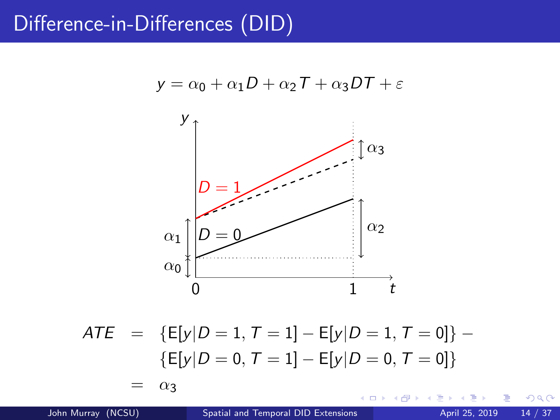### <span id="page-13-0"></span>Difference-in-Differences (DID)

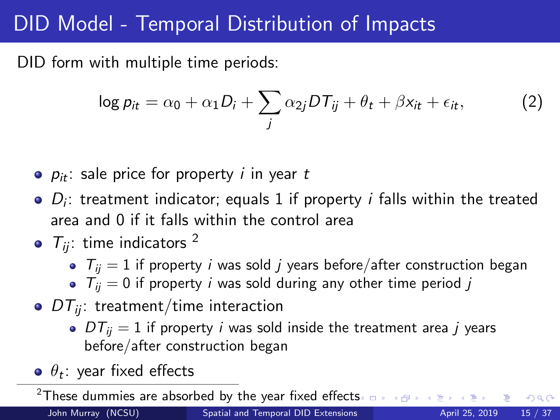## DID Model - Temporal Distribution of Impacts

DID form with multiple time periods:

$$
\log p_{it} = \alpha_0 + \alpha_1 D_i + \sum_j \alpha_{2j} DT_{ij} + \theta_t + \beta x_{it} + \epsilon_{it}, \qquad (2)
$$

- $\rho_{it}$ : sale price for property *i* in year t
- $D_i$ : treatment indicator; equals 1 if property *i* falls within the treated area and 0 if it falls within the control area
- $\bullet$   $T_{ii}$ : time indicators <sup>2</sup>
	- $T_{ii} = 1$  if property *i* was sold *j* years before/after construction began
	- $\bullet$   $T_{ii} = 0$  if property *i* was sold during any other time period *j*
- $\bullet$  DT<sub>ij</sub>: treatment/time interaction
	- $DT_{ii} = 1$  if property *i* was sold inside the treatment area *i* years before/after construction began
- $\theta_t$ : year fixed effects

<sup>&</sup>lt;[s](#page-13-0)up>2</sup>These dummies are absorbed by the year fixed effects  $\Box \rightarrow \Box \rightarrow \Box$  $QQ$ John Murray (NCSU) Spatial [and Temporal DID Extensions](#page-0-0) April 25, 2019 15 / 37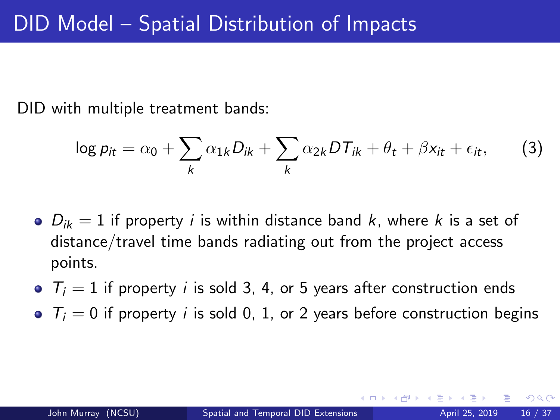DID with multiple treatment bands:

$$
\log p_{it} = \alpha_0 + \sum_k \alpha_{1k} D_{ik} + \sum_k \alpha_{2k} DT_{ik} + \theta_t + \beta x_{it} + \epsilon_{it}, \qquad (3)
$$

- $\bullet$   $D_{ik} = 1$  if property *i* is within distance band *k*, where *k* is a set of distance/travel time bands radiating out from the project access points.
- $\bullet$   $T_i = 1$  if property *i* is sold 3, 4, or 5 years after construction ends
- $\bullet$   $T_i = 0$  if property *i* is sold 0, 1, or 2 years before construction begins

つへへ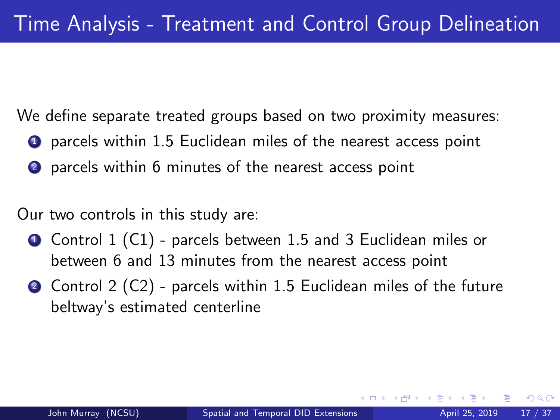We define separate treated groups based on two proximity measures:

- **1** parcels within 1.5 Euclidean miles of the nearest access point
- 2 parcels within 6 minutes of the nearest access point

Our two controls in this study are:

- **4** Control 1 (C1) parcels between 1.5 and 3 Euclidean miles or between 6 and 13 minutes from the nearest access point
- Control 2 (C2) parcels within 1.5 Euclidean miles of the future beltway's estimated centerline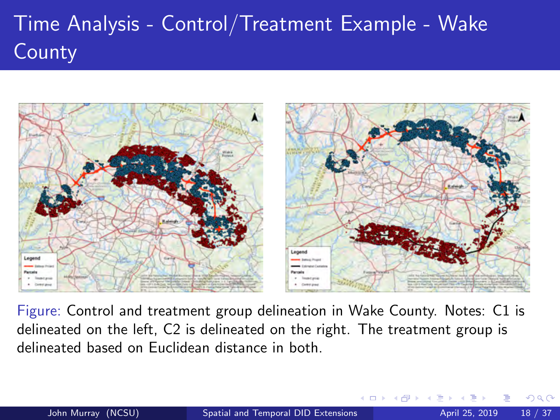# <span id="page-17-0"></span>Time Analysis - Control/Treatment Example - Wake **County**



Figure: Control and treatment group delineation in Wake County. Notes: C1 is delineated on the left, C2 is delineated on the right. The treatment group is delineated based on Euclidean distance in both.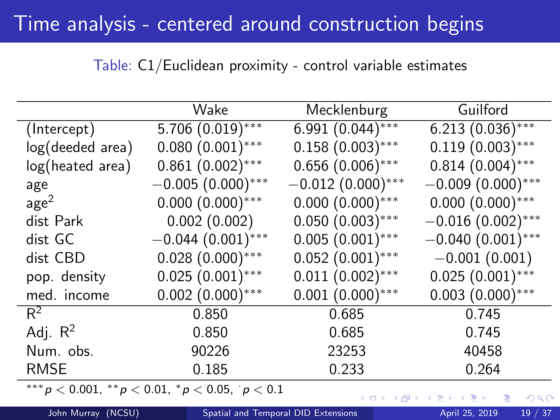### <span id="page-18-0"></span>Time analysis - centered around construction begins

### Table: C1/Euclidean proximity - control variable estimates

|                  | Wake                                                         | Mecklenburg         | Guilford            |
|------------------|--------------------------------------------------------------|---------------------|---------------------|
| (Intercept)      | $5.706(0.019)$ ***                                           | 6.991 $(0.044)$ *** | $6.213(0.036)$ ***  |
| log(deeded area) | $0.080(0.001)$ ***                                           | $0.158(0.003)$ ***  | $0.119(0.003)$ ***  |
| log(heated area) | $0.861(0.002)$ ***                                           | $0.656(0.006)$ ***  | $0.814(0.004)$ ***  |
| age              | $-0.005(0.000)$ ***                                          | $-0.012(0.000)$ *** | $-0.009(0.000)$ *** |
| age <sup>2</sup> | $0.000(0.000)$ ***                                           | $0.000(0.000)$ ***  | $0.000(0.000)$ ***  |
| dist Park        | 0.002(0.002)                                                 | $0.050(0.003)$ ***  | $-0.016(0.002)$ *** |
| dist GC          | $-0.044(0.001)$ ***                                          | $0.005(0.001)$ ***  | $-0.040(0.001)$ *** |
| dist CBD         | $0.028(0.000)$ ***                                           | $0.052(0.001)$ ***  | $-0.001(0.001)$     |
| pop. density     | $0.025(0.001)$ ***                                           | $0.011(0.002)$ ***  | $0.025(0.001)$ ***  |
| med. income      | $0.002(0.000)$ ***                                           | $0.001(0.000)$ ***  | $0.003(0.000)$ ***  |
| $R^2$            | 0.850                                                        | 0.685               | 0.745               |
| Adj. $R^2$       | 0.850                                                        | 0.685               | 0.745               |
| Num. obs.        | 90226                                                        | 23253               | 40458               |
| <b>RMSE</b>      | 0.185                                                        | 0.233               | 0.264               |
|                  | *** $p < 0.001$ , ** $p < 0.01$ , * $p < 0.05$ , ' $p < 0.1$ |                     |                     |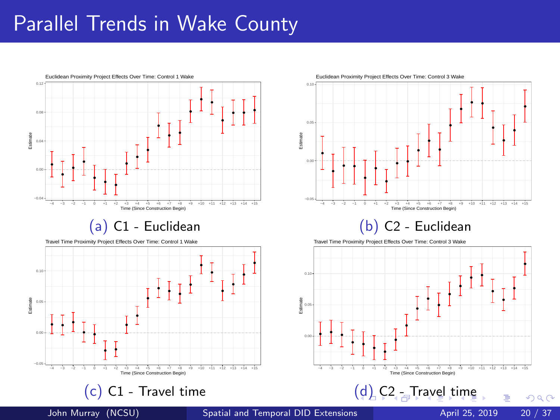### <span id="page-19-0"></span>Parallel Trends in Wake County



● ● ● −4 −3 −2 −1 0 +1 +2 +3 +4 +5 +6 +7 +8 +9 +10 +11 +12 +13 +14 +15 Time (Since Construction Begin)

#### (b) C2 - Euclidean

●

 $QQ$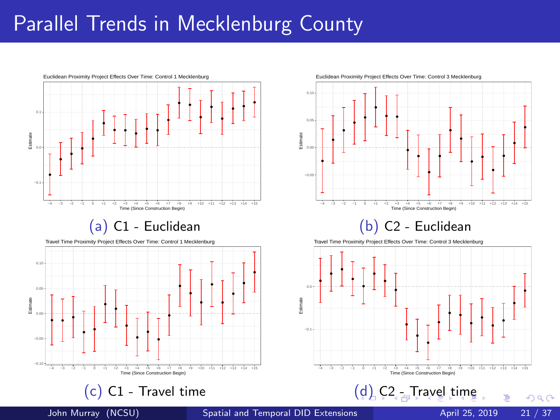### <span id="page-20-0"></span>Parallel Trends in Mecklenburg County



● ● ● ● ● ● ● ● ● −4 −3 −2 −1 0 +1 +2 +3 +4 +5 +6 +7 +8 +9 +10 +11 +12 +13 +14 +15 Time (Since Construction Begin)

#### (b) C2 - Euclidean



John Murray (NCSU) Spatial [and Temporal DID Extensions](#page-0-0) April 25, 2019 21 / 37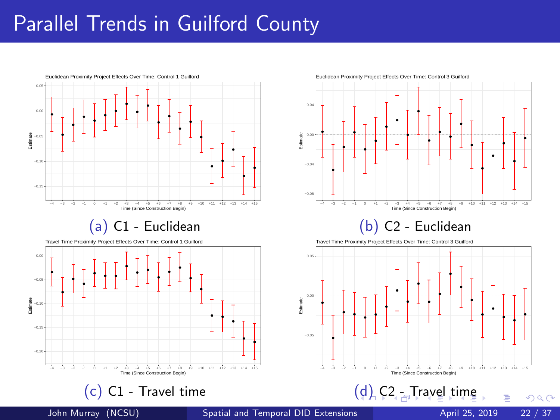### <span id="page-21-0"></span>Parallel Trends in Guilford County





#### (b) C2 - Euclidean

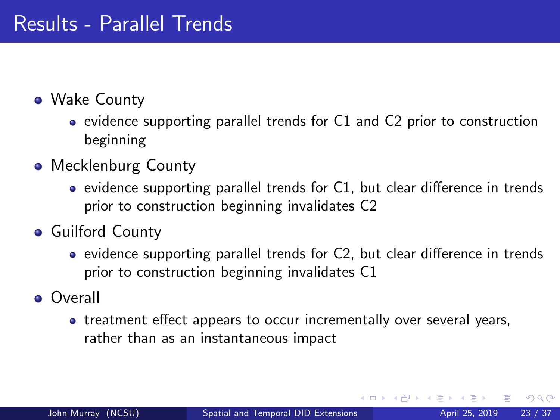- <span id="page-22-0"></span>Wake County
	- evidence supporting parallel trends for C1 and C2 prior to construction beginning
- Mecklenburg County
	- $\bullet$  evidence supporting parallel trends for C1, but clear difference in trends prior to construction beginning invalidates C2
- **Guilford County** 
	- evidence supporting parallel trends for C2, but clear difference in trends prior to construction beginning invalidates C1
- **o** Overall
	- treatment effect appears to occur incrementally over several years, rather than as an instantaneous impact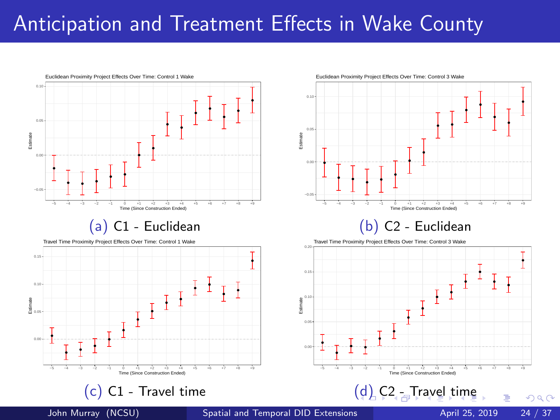### <span id="page-23-0"></span>Anticipation and Treatment Effects in Wake County

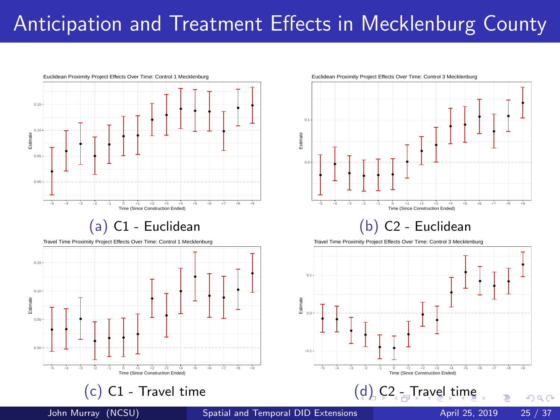## <span id="page-24-0"></span>Anticipation and Treatment Effects in Mecklenburg County





#### (b) C2 - Euclidean



 $(d)$  [C](#page-25-0)<sub>[2](#page-23-0)</sub> [-](#page-24-0) [Tr](#page-25-0)[a](#page-17-0)[ve](#page-18-0)[l](#page-35-0) [t](#page-36-0)[im](#page-17-0)[e](#page-18-0)

Travel Time Proximity Project Effects Over Time: Control 3 Mecklenburg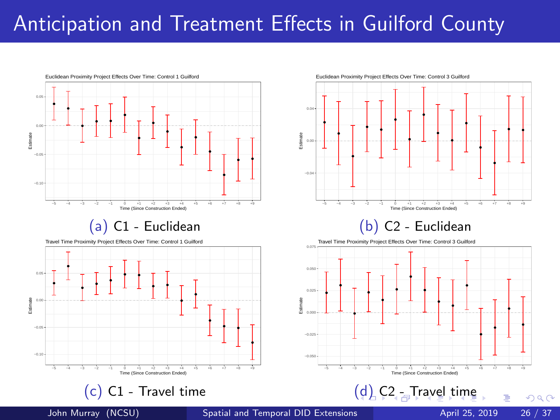### <span id="page-25-0"></span>Anticipation and Treatment Effects in Guilford County



● −5 −4 −3 −2 −1 0 +1 +2 +3 +4 +5 +6 +7 +8 +9 Time (Since Construction Ended) (b) C2 - Euclidean Travel Time Proximity Project Effects Over Time: Control 3 Guilford



John Murray (NCSU) Spatial [and Temporal DID Extensions](#page-0-0) April 25, 2019 26 / 37

 $200$ 

● ●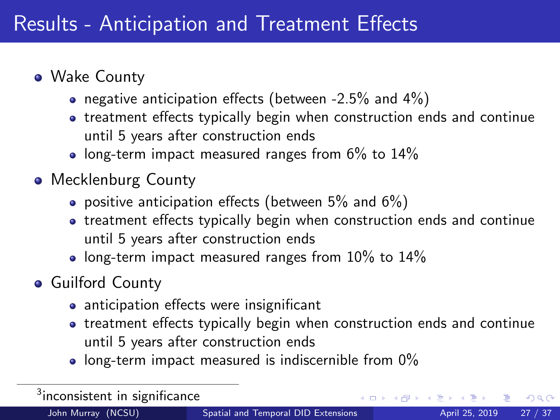- <span id="page-26-0"></span>Wake County
	- negative anticipation effects (between -2.5% and  $4\%$ )
	- treatment effects typically begin when construction ends and continue until 5 years after construction ends
	- $\bullet$  long-term impact measured ranges from 6% to 14%
- Mecklenburg County
	- positive anticipation effects (between  $5\%$  and  $6\%)$ )
	- treatment effects typically begin when construction ends and continue until 5 years after construction ends
	- long-term impact measured ranges from  $10\%$  to  $14\%$
- **Guilford County** 
	- anticipation effects were insignificant
	- treatment effects typically begin when construction ends and continue until 5 years after construction ends
	- $\bullet$  long-term impact measured is indiscernible from 0%

| $3$ inconsistent in significance |                                     |  | - K □ ▶ K @ ▶ K 글 ▶ K 글 ▶ - 글 - K 9 Q (N |  |  |
|----------------------------------|-------------------------------------|--|------------------------------------------|--|--|
| John Murray (NCSU),              | Spatial and Temporal DID Extensions |  | April 25, 2019 27 / 37                   |  |  |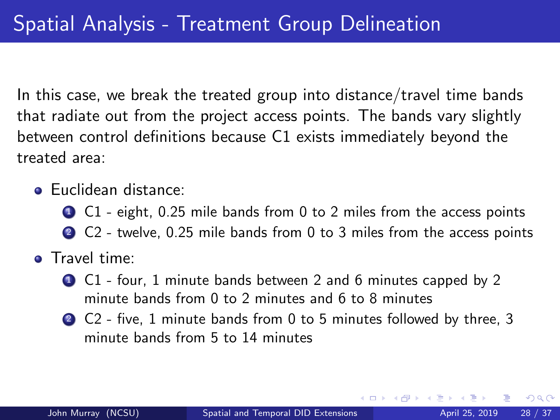In this case, we break the treated group into distance/travel time bands that radiate out from the project access points. The bands vary slightly between control definitions because C1 exists immediately beyond the treated area:

- **Euclidean distance:** 
	- **1** C1 eight, 0.25 mile bands from 0 to 2 miles from the access points
	- 2 C<sub>2</sub> twelve, 0.25 mile bands from 0 to 3 miles from the access points
- Travel time:
	- C1 four, 1 minute bands between 2 and 6 minutes capped by 2 minute bands from 0 to 2 minutes and 6 to 8 minutes
	- <sup>2</sup> C2 five, 1 minute bands from 0 to 5 minutes followed by three, 3 minute bands from 5 to 14 minutes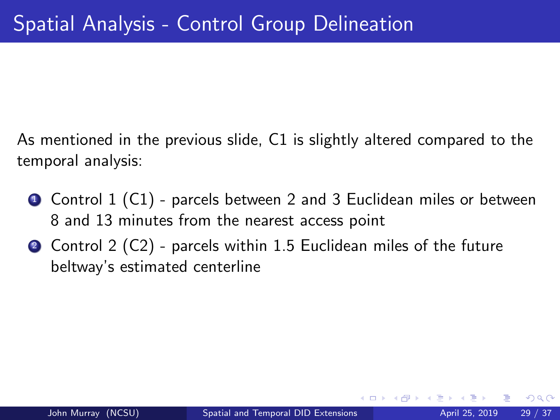As mentioned in the previous slide, C1 is slightly altered compared to the temporal analysis:

- **4** Control 1 (C1) parcels between 2 and 3 Euclidean miles or between 8 and 13 minutes from the nearest access point
- 2 Control 2 (C2) parcels within 1.5 Euclidean miles of the future beltway's estimated centerline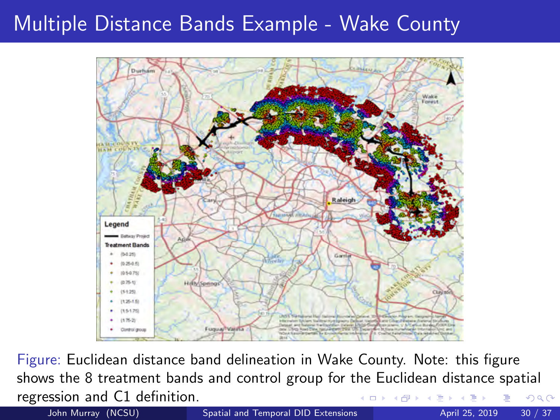### <span id="page-29-0"></span>Multiple Distance Bands Example - Wake County



Figure: Euclidean distance band delineation in Wake County. Note: this figure shows the 8 treatment bands and control group for the Euclidean distance spatial regression and C1 definition. 4 D F  $\Omega$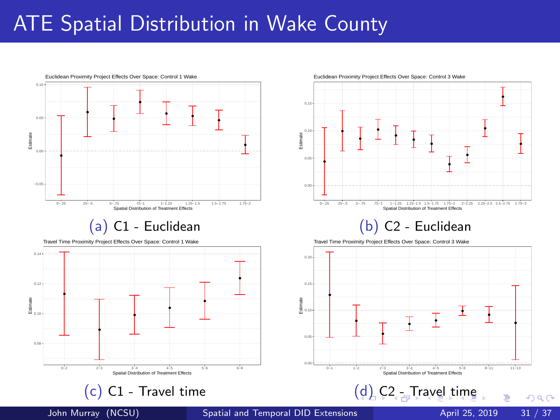### <span id="page-30-0"></span>ATE Spatial Distribution in Wake County



#### (a) C1 - Euclidean

Travel Time Proximity Project Effects Over Space: Control 1 Wake



(c) C1 - Travel time



#### (b) C2 - Euclidean



 $(d)$  [C](#page-31-0)<sub>[2](#page-29-0)</sub> [-](#page-30-0) [Tr](#page-31-0)[a](#page-17-0)[ve](#page-18-0)[l](#page-35-0) [t](#page-36-0)[im](#page-17-0)[e](#page-18-0)

Travel Time Proximity Project Effects Over Space: Control 3 Wake



 $QQ$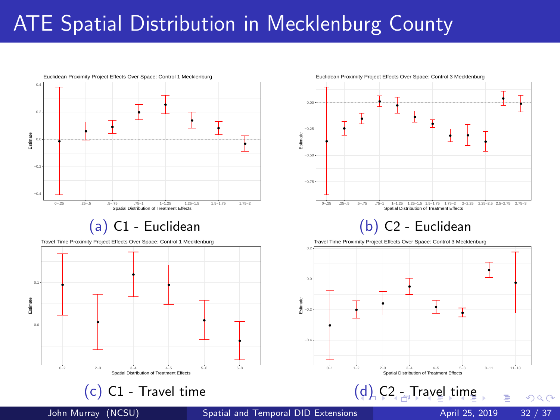## <span id="page-31-0"></span>ATE Spatial Distribution in Mecklenburg County

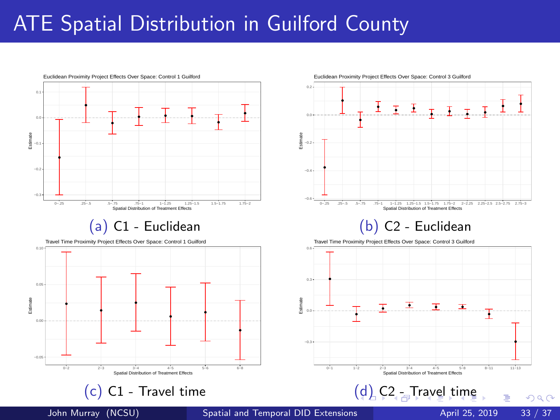### <span id="page-32-0"></span>ATE Spatial Distribution in Guilford County

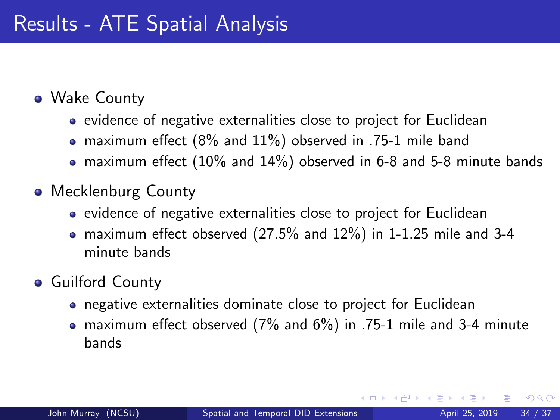- <span id="page-33-0"></span>Wake County
	- evidence of negative externalities close to project for Euclidean
	- maximum effect (8% and 11%) observed in .75-1 mile band
	- maximum effect  $(10\%$  and  $14\%)$  observed in 6-8 and 5-8 minute bands
- Mecklenburg County
	- evidence of negative externalities close to project for Euclidean
	- maximum effect observed (27.5% and 12%) in 1-1.25 mile and 3-4 minute bands
- **Guilford County** 
	- negative externalities dominate close to project for Euclidean
	- maximum effect observed (7% and 6%) in .75-1 mile and 3-4 minute bands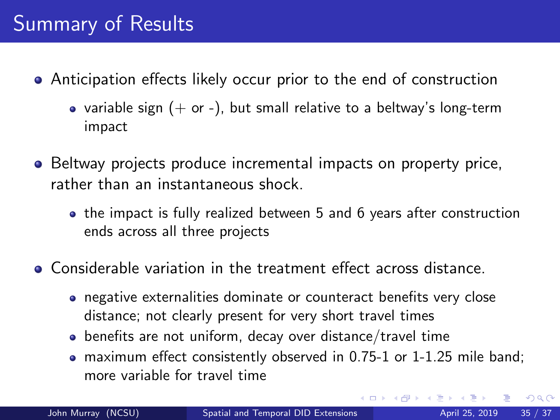- Anticipation effects likely occur prior to the end of construction
	- variable sign  $(+)$  or  $-)$ , but small relative to a beltway's long-term impact
- Beltway projects produce incremental impacts on property price, rather than an instantaneous shock.
	- the impact is fully realized between 5 and 6 years after construction ends across all three projects
- Considerable variation in the treatment effect across distance.
	- negative externalities dominate or counteract benefits very close distance; not clearly present for very short travel times
	- benefits are not uniform, decay over distance/travel time
	- maximum effect consistently observed in 0.75-1 or 1-1.25 mile band; more variable for travel time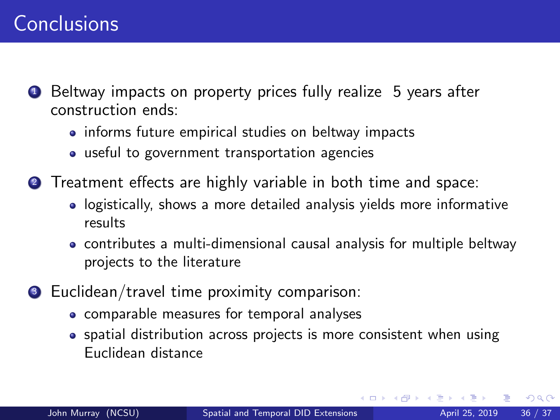### <span id="page-35-0"></span>**Conclusions**

- **1** Beltway impacts on property prices fully realize 5 years after construction ends:
	- informs future empirical studies on beltway impacts
	- useful to government transportation agencies
- <sup>2</sup> Treatment effects are highly variable in both time and space:
	- logistically, shows a more detailed analysis yields more informative results
	- contributes a multi-dimensional causal analysis for multiple beltway projects to the literature
- **3** Euclidean/travel time proximity comparison:
	- comparable measures for temporal analyses
	- spatial distribution across projects is more consistent when using Euclidean distance